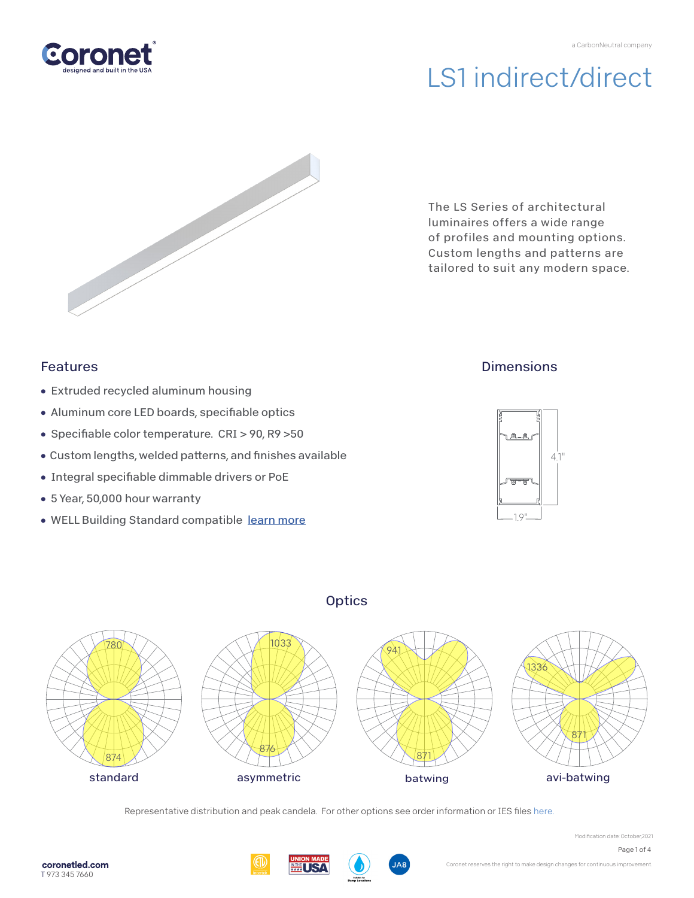



The LS Series of architectural luminaires offers a wide range of profiles and mounting options. Custom lengths and patterns are tailored to suit any modern space.

## Features

- Extruded recycled aluminum housing
- Aluminum core LED boards, specifiable optics
- Specifiable color temperature. CRI > 90, R9 > 50
- Custom lengths, welded patterns, and finishes available
- Integral specifiable dimmable drivers or PoE
- 5 Year, 50,000 hour warranty
- WELL Building Standard compatible [learn more](https://coronetled.com/well-v2-standard/)

## **Dimensions**





Representative distribution and peak candela. For other options see order information or IES fil[es here.](https://coronetled.com/downloads/)







Modification date: October,2021

Page 1 of 4

**Optics**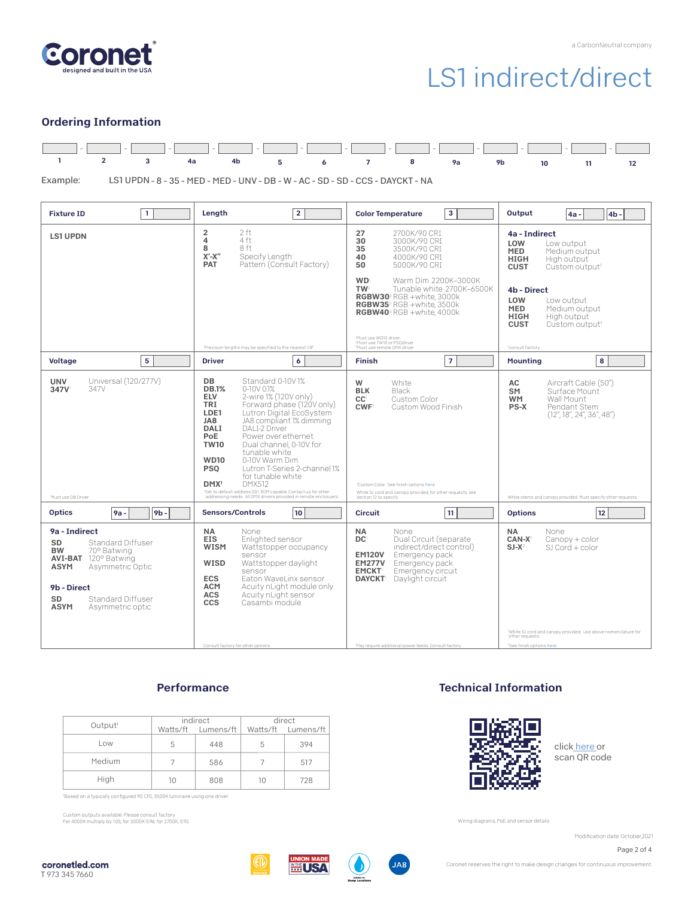

### Ordering Information

|  |  | <u> 1990 - 1990 - 1990 - 1990 - 1990 - 1990 - 1990 - 1990 - 1990 - 1990 - 1990 - 1990 - 1990 - 1990 - 1990 - 1990 - 1990 - 1990 - 1990 - 1990 - 1990 - 1990 - 1990 - 1990 - 1990 - 1990 - 1990 - 1990 - 1990 - 1990 - 1990 - 199</u> |  |  |  |  |  |  |  |
|--|--|--------------------------------------------------------------------------------------------------------------------------------------------------------------------------------------------------------------------------------------|--|--|--|--|--|--|--|
|  |  | 1 2 3 4a 4b 5 6 7 8 9a 9b 10 11 12                                                                                                                                                                                                   |  |  |  |  |  |  |  |

LS1 UPDN - 8 - 35 - MED - MED - UNV - DB - W - AC - SD - SD - CCS - DAYCKT - NA Example:

| <b>Fixture ID</b><br>$\mathbf{1}$                                                                                                                                                                                                 | Lenath<br>$\overline{2}$                                                                                                                                                                                                                                                                                                                                                                                                                                                                                                                                                                                                       | 3<br><b>Color Temperature</b>                                                                                                                                                                                                                    | Output<br>4 <sub>b</sub><br>4a -                                                                                                                                                                                      |
|-----------------------------------------------------------------------------------------------------------------------------------------------------------------------------------------------------------------------------------|--------------------------------------------------------------------------------------------------------------------------------------------------------------------------------------------------------------------------------------------------------------------------------------------------------------------------------------------------------------------------------------------------------------------------------------------------------------------------------------------------------------------------------------------------------------------------------------------------------------------------------|--------------------------------------------------------------------------------------------------------------------------------------------------------------------------------------------------------------------------------------------------|-----------------------------------------------------------------------------------------------------------------------------------------------------------------------------------------------------------------------|
| <b>LS1 UPDN</b>                                                                                                                                                                                                                   | 2 ft<br>$\overline{2}$<br>4 ft<br>4<br>8 ft<br>8<br>$\mathsf{X}'\text{-}\mathsf{X}''$<br>Specify Length<br>Pattern (Consult Factory)<br><b>PAT</b>                                                                                                                                                                                                                                                                                                                                                                                                                                                                             | 27<br>2700K/90 CRI<br>30<br>3000K/90 CRI<br>35<br>3500K/90 CRI<br>40<br>4000K/90 CRI<br>50<br>5000K/90 CRI                                                                                                                                       | 4a - Indirect<br>LOW<br>Low output<br><b>MED</b><br>Medium output<br><b>HIGH</b><br>High output<br><b>CUST</b><br>Custom output <sup>1</sup>                                                                          |
|                                                                                                                                                                                                                                   |                                                                                                                                                                                                                                                                                                                                                                                                                                                                                                                                                                                                                                | <b>WD</b><br>Warm Dim 2200K-3000K<br>TW <sup>2</sup><br>Tunable white 2700K-6500K<br>RGBW30 <sup>3</sup> RGB +white, 3000k<br><b>RGBW35</b> <sup>3</sup> RGB +white, 3500k<br>RGBW40 <sup>3</sup> RGB +white, 4000k                              | 4b - Direct<br>LOW<br>Low output<br><b>MED</b><br>Medium output<br><b>HIGH</b><br>High output<br><b>CUST</b><br>Custom output <sup>1</sup>                                                                            |
|                                                                                                                                                                                                                                   | 'Precision lengths may be specified to the nearest 1/8".                                                                                                                                                                                                                                                                                                                                                                                                                                                                                                                                                                       | Must use WD10 driver.<br><sup>2</sup> Must use TW10 or PSQdriver.<br><sup>3</sup> Must use remote DMX driver.                                                                                                                                    | consult factory                                                                                                                                                                                                       |
| 5<br><b>Voltage</b>                                                                                                                                                                                                               | <b>Driver</b><br>6                                                                                                                                                                                                                                                                                                                                                                                                                                                                                                                                                                                                             | $\overline{7}$<br><b>Finish</b>                                                                                                                                                                                                                  | <b>Mounting</b><br>8                                                                                                                                                                                                  |
| Universal (120/277V)<br><b>UNV</b><br>347V<br>347V<br>Must use DB Driver                                                                                                                                                          | DB<br>Standard 0-10V1%<br><b>DB.1%</b><br>$0-10V$ $01%$<br><b>ELV</b><br>2-wire 1% (120V only)<br>TRI<br>Forward phase (120V only)<br>Lutron Digital EcoSystem<br>LDE1<br>JA8<br>JA8 compliant 1% dimming<br>DALI<br><b>DALI-2 Driver</b><br>PoE<br>Power over ethernet.<br><b>TW10</b><br>Dual channel, 0-10V for<br>tunable white.<br><b>WD10</b><br>0-10V Warm Dim<br><b>PSO</b><br>Lutron T-Series 2-channel 1%<br>for tunable white<br><b>DMX512</b><br>DMX <sup>1</sup><br><sup>1</sup> Set to default address 001.RDM capable. Contact us for other<br>addressing needs. All DMX drivers provided in remote enclosuers. | White<br>W<br>Black<br><b>BLK</b><br>CC <sup>1</sup><br>Custom Color<br>CWF <sup>1</sup><br>Custom Wood Finish<br>Custom Color. See finish options here.<br>White SJ cord and canopy provided; for other requests, see<br>section 12 to specify. | AC<br>Aircraft Cable (50")<br><b>SM</b><br>Surface Mount<br>Wall Mount<br><b>WM</b><br><b>PS-X</b><br>Pendant Stem<br>(12'', 18'', 24'', 36'', 48'')<br>White stems and canopy provided. Must specify other requests. |
| <b>Optics</b><br>9 <sub>b</sub><br>$9a -$                                                                                                                                                                                         | <b>Sensors/Controls</b><br>10                                                                                                                                                                                                                                                                                                                                                                                                                                                                                                                                                                                                  | 11<br><b>Circuit</b>                                                                                                                                                                                                                             | 12<br><b>Options</b>                                                                                                                                                                                                  |
| 9a - Indirect<br><b>Standard Diffuser</b><br>SD<br><b>BW</b><br>70° Batwing<br><b>AVI-BAT</b> 120° Batwing<br><b>ASYM</b><br>Asymmetric Optic<br>9b - Direct<br>SD<br><b>Standard Diffuser</b><br><b>ASYM</b><br>Asymmetric optic | NA<br>None<br><b>EIS</b><br>Enlighted sensor<br><b>WISM</b><br>Wattstopper occupancy<br>sensor<br>WISD<br>Wattstopper davlight<br>sensor<br><b>ECS</b><br>Eaton WaveLinx sensor<br><b>ACM</b><br>Acuity nLight module only<br>Acuity nLight sensor<br><b>ACS</b><br><b>CCS</b><br>Casambi module                                                                                                                                                                                                                                                                                                                               | NA<br>None<br>DC <sup>1</sup><br>Dual Circuit (separate<br>indirect/direct control)<br>Emergency pack<br><b>EM120V</b><br><b>EM277V</b><br>Emergency pack<br>Emergency circuit<br><b>EMCKT</b><br><b>DAYCKT</b> Daylight circuit                 | NA<br>None<br>CAN-X <sup>1</sup><br>$Canopy + color$<br>$SI$ Cord + color<br>$SJ-X^2$<br>"White SJ cord and canopy provided; use above nomenclature for                                                               |
|                                                                                                                                                                                                                                   | Consult factory for other options                                                                                                                                                                                                                                                                                                                                                                                                                                                                                                                                                                                              | 'May require additional power feeds. Consult factory                                                                                                                                                                                             | other requests<br><sup>2</sup> See finish options here.                                                                                                                                                               |

### **Performance**

|                     |    | indirect           | direct |                    |  |  |
|---------------------|----|--------------------|--------|--------------------|--|--|
| Output <sup>1</sup> |    | Watts/ft Lumens/ft |        | Watts/ft Lumens/ft |  |  |
| Low                 | 5  | 448                | 5      | 394                |  |  |
| Medium              |    | 586                |        | 517                |  |  |
| High                | 10 | 808                | 10     | 728                |  |  |

Based on a typically configured 90 CRI, 3500K luminaire using one driver.

Custom outputs available. Please consult factory. For 4000K multiply by 1.05; for 3000K 0.96; for 2700K, 0.92.

Technical Information



clic[k here o](https://coronetled.com/warranty-technical-info/)r scan QR code

Wiring diagrams, PoE and sensor details

Modification date: October,2021

Page 2 of 4





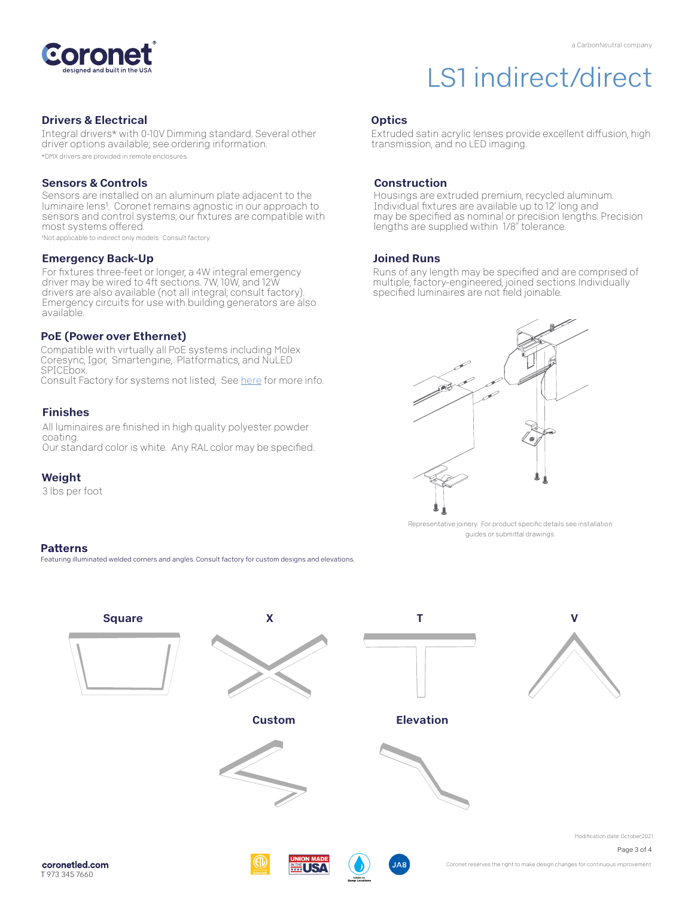

#### Drivers & Electrical

Integral drivers\* with 0-10V Dimming standard. Several other driver options available; see ordering information. \*DMX drivers are provided in remote enclosures.

#### Sensors & Controls

Sensors are installed on an aluminum plate adjacent to the luminaire lens<sup>1</sup>. Coronet remains agnostic in our approach to sensors and control systems; our fixtures are compatible with most systems offered.

1Not applicable to indirect only models. Consult factory.

#### Emergency Back-Up

For fixtures three-feet or longer, a 4W integral emergency driver may be wired to 4ft sections. 7W, 10W, and 12W drivers are also available (not all integral; consult factory). Emergency circuits for use with building generators are also available.

#### PoE (Power over Ethernet)

Compatible with virtually all PoE systems including Molex Coresync, Igor, Smartengine, Platformatics, and NuLED SPICEbox. Consult Factory for systems not listed, See here for more info.

#### Finishes

All luminaires are finished in high quality polyester powder coating. Our standard color is white. Any RAL color may be specified.

#### Weight

3 lbs per foot

#### **Patterns**

Featuring illuminated welded corners and angles. Consult factory for custom designs and elevations

### **Optics**

Extruded satin acrylic lenses provide excellent diffusion, high transmission, and no LED imaging.

#### **Construction**

Housings are extruded premium, recycled aluminum. Individual fixtures are available up to 12' long and may be specified as nominal or precision lengths. Precision lengths are supplied within 1/8" tolerance.

#### Joined Runs

Runs of any length may be specified and are comprised of multiple, factory-engineered, joined sections. Individually specified luminaires are not field joinable.



Representative joinery. For product specific details see installation guides or submittal drawings.